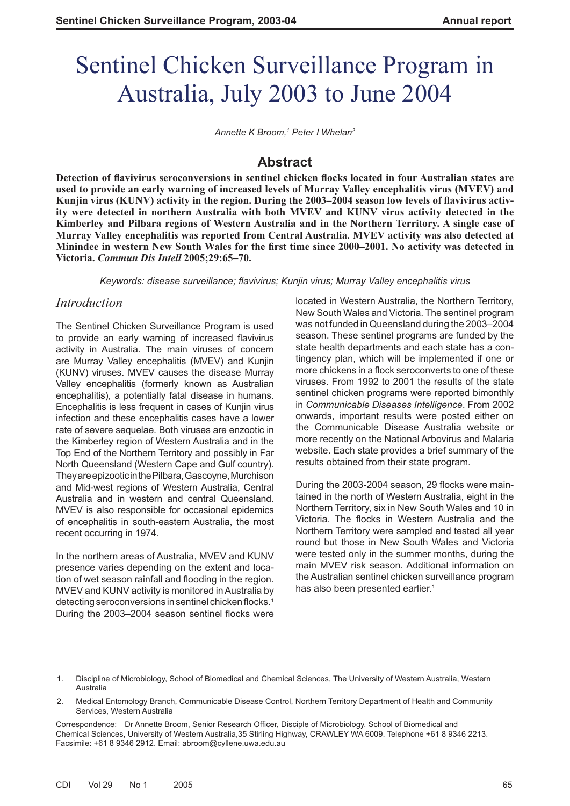# Sentinel Chicken Surveillance Program in Australia, July 2003 to June 2004

*Annette K Broom,1 Peter I Whelan2*

# **Abstract**

**Detection of flavivirus seroconversions in sentinel chicken flocks located in four Australian states are used to provide an early warning of increased levels of Murray Valley encephalitis virus (MVEV) and**  Kunjin virus (KUNV) activity in the region. During the 2003–2004 season low levels of flavivirus activ**ity were detected in northern Australia with both MVEV and KUNV virus activity detected in the Kimberley and Pilbara regions of Western Australia and in the Northern Territory. A single case of Murray Valley encephalitis was reported from Central Australia. MVEV activity was also detected at Minindee in western New South Wales for the first time since 2000–2001. No activity was detected in Victoria.** *Commun Dis Intell* **2005;29:65–70.**

*Keywords: disease surveillance; fl avivirus; Kunjin virus; Murray Valley encephalitis virus*

# *Introduction*

The Sentinel Chicken Surveillance Program is used to provide an early warning of increased flavivirus activity in Australia. The main viruses of concern are Murray Valley encephalitis (MVEV) and Kunjin (KUNV) viruses. MVEV causes the disease Murray Valley encephalitis (formerly known as Australian encephalitis), a potentially fatal disease in humans. Encephalitis is less frequent in cases of Kunjin virus infection and these encephalitis cases have a lower rate of severe sequelae. Both viruses are enzootic in the Kimberley region of Western Australia and in the Top End of the Northern Territory and possibly in Far North Queensland (Western Cape and Gulf country). They are epizootic in the Pilbara, Gascoyne, Murchison and Mid-west regions of Western Australia, Central Australia and in western and central Queensland. MVEV is also responsible for occasional epidemics of encephalitis in south-eastern Australia, the most recent occurring in 1974.

In the northern areas of Australia, MVEV and KUNV presence varies depending on the extent and location of wet season rainfall and flooding in the region. MVEV and KUNV activity is monitored in Australia by detecting seroconversions in sentinel chicken flocks.<sup>1</sup> During the 2003–2004 season sentinel flocks were

located in Western Australia, the Northern Territory, New South Wales and Victoria. The sentinel program was not funded in Queensland during the 2003–2004 season. These sentinel programs are funded by the state health departments and each state has a contingency plan, which will be implemented if one or more chickens in a flock seroconverts to one of these viruses. From 1992 to 2001 the results of the state sentinel chicken programs were reported bimonthly in *Communicable Diseases Intelligence*. From 2002 onwards, important results were posted either on the Communicable Disease Australia website or more recently on the National Arbovirus and Malaria website. Each state provides a brief summary of the results obtained from their state program.

During the 2003-2004 season, 29 flocks were maintained in the north of Western Australia, eight in the Northern Territory, six in New South Wales and 10 in Victoria. The flocks in Western Australia and the Northern Territory were sampled and tested all year round but those in New South Wales and Victoria were tested only in the summer months, during the main MVEV risk season. Additional information on the Australian sentinel chicken surveillance program has also been presented earlier.<sup>1</sup>

- 1. Discipline of Microbiology, School of Biomedical and Chemical Sciences, The University of Western Australia, Western Australia
- 2. Medical Entomology Branch, Communicable Disease Control, Northern Territory Department of Health and Community Services, Western Australia

Correspondence: Dr Annette Broom, Senior Research Officer, Disciple of Microbiology, School of Biomedical and Chemical Sciences, University of Western Australia,35 Stirling Highway, CRAWLEY WA 6009. Telephone +61 8 9346 2213. Facsimile: +61 8 9346 2912. Email: abroom@cyllene.uwa.edu.au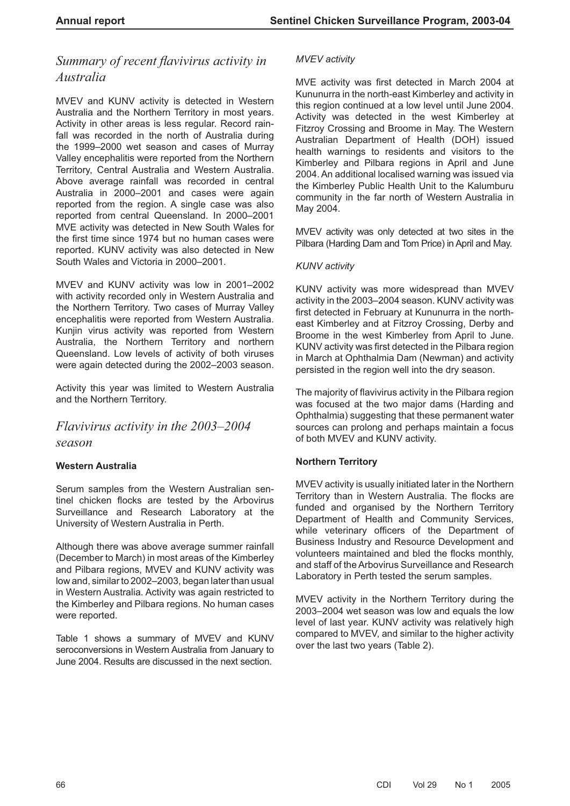# **Summary of recent flavivirus activity in** *Australia*

MVEV and KUNV activity is detected in Western Australia and the Northern Territory in most years. Activity in other areas is less regular. Record rainfall was recorded in the north of Australia during the 1999–2000 wet season and cases of Murray Valley encephalitis were reported from the Northern Territory, Central Australia and Western Australia. Above average rainfall was recorded in central Australia in 2000–2001 and cases were again reported from the region. A single case was also reported from central Queensland. In 2000–2001 MVE activity was detected in New South Wales for the first time since 1974 but no human cases were reported. KUNV activity was also detected in New South Wales and Victoria in 2000–2001.

MVEV and KUNV activity was low in 2001–2002 with activity recorded only in Western Australia and the Northern Territory. Two cases of Murray Valley encephalitis were reported from Western Australia. Kunjin virus activity was reported from Western Australia, the Northern Territory and northern Queensland. Low levels of activity of both viruses were again detected during the 2002–2003 season.

Activity this year was limited to Western Australia and the Northern Territory.

*Flavivirus activity in the 2003–2004 season*

## **Western Australia**

Serum samples from the Western Australian sentinel chicken flocks are tested by the Arbovirus Surveillance and Research Laboratory at the University of Western Australia in Perth.

Although there was above average summer rainfall (December to March) in most areas of the Kimberley and Pilbara regions, MVEV and KUNV activity was low and, similar to 2002–2003, began later than usual in Western Australia. Activity was again restricted to the Kimberley and Pilbara regions. No human cases were reported.

Table 1 shows a summary of MVEV and KUNV seroconversions in Western Australia from January to June 2004. Results are discussed in the next section.

#### *MVEV activity*

MVE activity was first detected in March 2004 at Kununurra in the north-east Kimberley and activity in this region continued at a low level until June 2004. Activity was detected in the west Kimberley at Fitzroy Crossing and Broome in May. The Western Australian Department of Health (DOH) issued health warnings to residents and visitors to the Kimberley and Pilbara regions in April and June 2004. An additional localised warning was issued via the Kimberley Public Health Unit to the Kalumburu community in the far north of Western Australia in May 2004.

MVEV activity was only detected at two sites in the Pilbara (Harding Dam and Tom Price) in April and May.

#### *KUNV activity*

KUNV activity was more widespread than MVEV activity in the 2003–2004 season. KUNV activity was first detected in February at Kununurra in the northeast Kimberley and at Fitzroy Crossing, Derby and Broome in the west Kimberley from April to June. KUNV activity was first detected in the Pilbara region in March at Ophthalmia Dam (Newman) and activity persisted in the region well into the dry season.

The majority of flavivirus activity in the Pilbara region was focused at the two major dams (Harding and Ophthalmia) suggesting that these permanent water sources can prolong and perhaps maintain a focus of both MVEV and KUNV activity.

## **Northern Territory**

MVEV activity is usually initiated later in the Northern Territory than in Western Australia. The flocks are funded and organised by the Northern Territory Department of Health and Community Services, while veterinary officers of the Department of Business Industry and Resource Development and volunteers maintained and bled the flocks monthly. and staff of the Arbovirus Surveillance and Research Laboratory in Perth tested the serum samples.

MVEV activity in the Northern Territory during the 2003–2004 wet season was low and equals the low level of last year. KUNV activity was relatively high compared to MVEV, and similar to the higher activity over the last two years (Table 2).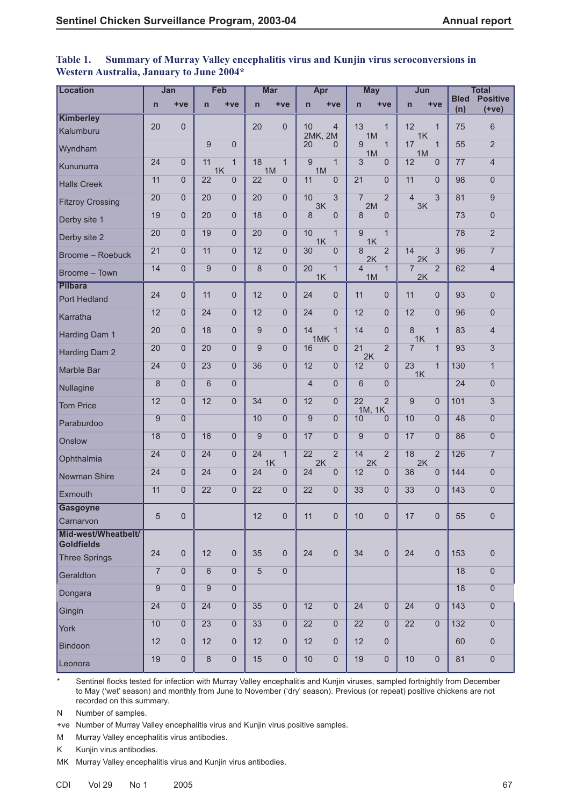| Location                                 |                 | Jan              |                 | Feb                  |                | <b>Mar</b>          | Apr            |                | <b>May</b>           |                | Jun                   |                     |                    | <b>Total</b>               |
|------------------------------------------|-----------------|------------------|-----------------|----------------------|----------------|---------------------|----------------|----------------|----------------------|----------------|-----------------------|---------------------|--------------------|----------------------------|
|                                          | $\mathsf{n}$    | $+ve$            | $\mathsf{n}$    | $+ve$                | $\overline{n}$ | $+ve$               | $\mathsf{n}$   | $+ve$          | $\mathsf{n}$         | $+ve$          | $\overline{n}$        | $+ve$               | <b>Bled</b><br>(n) | <b>Positive</b><br>$(+ve)$ |
| Kimberley                                |                 |                  |                 |                      |                |                     |                |                |                      |                |                       |                     |                    |                            |
| Kalumburu                                | 20              | $\overline{0}$   |                 |                      | 20             | $\Omega$            | 10<br>2MK, 2M  | $\overline{4}$ | 13<br>1M             | $\mathbf{1}$   | 12<br>1K              | $\mathbf{1}$        | 75                 | 6                          |
| Wyndham                                  |                 |                  | 9               | $\overline{0}$       |                |                     | 20             | $\Omega$       | 9<br>1M              | $\mathbf{1}$   | 17<br>1M              | $\mathbf{1}$        | 55                 | $\overline{2}$             |
| Kununurra                                | 24              | $\overline{0}$   | 11              | $\overline{1}$<br>1K | 18             | $\mathbf{1}$<br>1M  | 9<br>1M        | $\overline{1}$ | 3                    | $\overline{0}$ | 12                    | $\overline{0}$      | 77                 | $\overline{4}$             |
| <b>Halls Creek</b>                       | 11              | $\mathbf 0$      | 22              | $\overline{0}$       | 22             | $\overline{0}$      | 11             | $\Omega$       | 21                   | $\Omega$       | 11                    | $\overline{0}$      | 98                 | $\overline{0}$             |
| <b>Fitzroy Crossing</b>                  | 20              | $\mathbf 0$      | 20              | $\overline{0}$       | 20             | $\Omega$            | 10<br>3K       | $\overline{3}$ | $\overline{7}$<br>2M | $\overline{2}$ | $\overline{4}$<br>3K  | 3                   | 81                 | $\overline{9}$             |
| Derby site 1                             | 19              | $\overline{0}$   | 20              | $\overline{0}$       | 18             | $\Omega$            | 8              | $\Omega$       | 8                    | $\Omega$       |                       |                     | 73                 | $\overline{0}$             |
| Derby site 2                             | 20              | $\mathbf 0$      | 19              | $\Omega$             | 20             | $\Omega$            | 10<br>1K       | $\mathbf{1}$   | 9<br>1K              | $\mathbf{1}$   |                       |                     | 78                 | $\overline{2}$             |
| <b>Broome - Roebuck</b>                  | 21              | $\overline{0}$   | 11              | $\overline{0}$       | 12             | $\overline{0}$      | 30             | $\Omega$       | 8<br>2K              | $\overline{2}$ | 14<br>2K              | $\sqrt{3}$          | 96                 | $\overline{7}$             |
| Broome - Town                            | 14              | $\mathbf 0$      | 9               | $\overline{0}$       | 8              | $\overline{0}$      | 20<br>1K       | $\overline{1}$ | $\overline{4}$<br>1M | $\overline{1}$ | $\overline{7}$<br>2K  | $\overline{2}$      | 62                 | $\overline{4}$             |
| <b>Pilbara</b>                           |                 |                  |                 |                      |                |                     |                |                |                      |                |                       |                     |                    |                            |
| Port Hedland                             | 24              | $\overline{0}$   | 11              | $\overline{0}$       | 12             | $\mathbf{0}$        | 24             | $\Omega$       | 11                   | $\overline{0}$ | 11                    | $\mathbf 0$         | 93                 | 0                          |
| Karratha                                 | 12              | $\overline{0}$   | 24              | $\overline{0}$       | 12             | $\Omega$            | 24             | $\Omega$       | 12                   | $\overline{0}$ | 12                    | $\overline{0}$      | 96                 | $\boldsymbol{0}$           |
| Harding Dam 1                            | 20              | $\overline{0}$   | 18              | $\Omega$             | 9              | $\Omega$            | 14<br>1MK      | $\mathbf{1}$   | 14                   | $\Omega$       | 8<br>1K               | $\mathbf{1}$        | 83                 | $\overline{4}$             |
| Harding Dam 2                            | 20              | $\mathbf 0$      | 20              | $\overline{0}$       | 9              | $\Omega$            | 16             | $\Omega$       | 21<br>2K             | $\overline{2}$ | $\overline{7}$        | $\mathbf{1}$        | 93                 | 3                          |
| Marble Bar                               | 24              | $\overline{0}$   | 23              | $\overline{0}$       | 36             | $\Omega$            | 12             | $\Omega$       | 12                   | $\overline{0}$ | $\overline{23}$<br>1K | $\overline{1}$      | 130                | $\overline{1}$             |
| Nullagine                                | 8               | $\overline{0}$   | $6\phantom{1}6$ | $\overline{0}$       |                |                     | $\overline{4}$ | $\Omega$       | 6                    | $\overline{0}$ |                       |                     | 24                 | 0                          |
| <b>Tom Price</b>                         | 12              | $\overline{0}$   | 12              | $\Omega$             | 34             | $\Omega$            | 12             | $\Omega$       | 22<br>1M, 1K         | $\overline{2}$ | 9                     | $\overline{0}$      | 101                | $\overline{3}$             |
| Paraburdoo                               | 9               | $\mathbf 0$      |                 |                      | 10             | $\Omega$            | 9              | $\Omega$       | 10                   | $\Omega$       | 10                    | $\overline{0}$      | 48                 | $\boldsymbol{0}$           |
| Onslow                                   | 18              | $\overline{0}$   | 16              | $\Omega$             | 9              | $\Omega$            | 17             | $\Omega$       | 9                    | $\Omega$       | 17                    | $\overline{0}$      | 86                 | $\overline{0}$             |
| Ophthalmia                               | 24              | $\mathbf 0$      | 24              | $\overline{0}$       | 24             | $\mathbf{1}$<br>1K  | 22<br>2K       | $\overline{2}$ | 14<br>2K             | $\overline{2}$ | 18<br>2K              | $\overline{2}$      | 126                | $\overline{7}$             |
| Newman Shire                             | $\overline{24}$ | $\mathbf 0$      | 24              | $\overline{0}$       | 24             | $\overline{0}$      | 24             | $\overline{0}$ | 12                   | $\mathbf{0}$   | 36                    | $\overline{0}$      | 144                | $\overline{0}$             |
| <b>Exmouth</b>                           | 11              | $\boldsymbol{0}$ | 22              | $\overline{0}$       | 22             | $\Omega$            | 22             | $\Omega$       | 33                   | $\overline{0}$ | 33                    | $\boldsymbol{0}$    | 143                | 0                          |
| <b>Gasgoyne</b>                          | 5               | $\overline{0}$   |                 |                      | 12             | $\mathsf{O}\xspace$ | 11             | $\mathbf 0$    | 10                   | $\overline{0}$ | 17                    | $\mathsf{O}\xspace$ | 55                 | 0                          |
| Carnarvon                                |                 |                  |                 |                      |                |                     |                |                |                      |                |                       |                     |                    |                            |
| Mid-west/Wheatbelt/<br><b>Goldfields</b> |                 |                  |                 |                      |                |                     |                |                |                      |                |                       |                     |                    |                            |
| <b>Three Springs</b>                     | 24              | $\overline{0}$   | 12              | $\overline{0}$       | 35             | $\mathbf{0}$        | 24             | $\mathbf 0$    | 34                   | $\mathbf{0}$   | 24                    | $\mathbf 0$         | 153                | $\mathbf 0$                |
| Geraldton                                | $\overline{7}$  | $\overline{0}$   | 6               | $\Omega$             | 5              | $\Omega$            |                |                |                      |                |                       |                     | 18                 | $\overline{0}$             |
| Dongara                                  | 9               | $\overline{0}$   | $\overline{9}$  | $\overline{0}$       |                |                     |                |                |                      |                |                       |                     | 18                 | $\overline{0}$             |
| Gingin                                   | 24              | $\overline{0}$   | 24              | $\overline{0}$       | 35             | $\Omega$            | 12             | $\Omega$       | 24                   | $\overline{0}$ | 24                    | $\overline{0}$      | 143                | $\overline{0}$             |
| York                                     | 10              | $\overline{0}$   | 23              | $\overline{0}$       | 33             | $\Omega$            | 22             | $\Omega$       | $\overline{22}$      | $\overline{0}$ | 22                    | $\overline{0}$      | 132                | $\overline{0}$             |
| Bindoon                                  | 12              | $\overline{0}$   | 12              | $\overline{0}$       | 12             | $\Omega$            | 12             | $\Omega$       | 12                   | $\overline{0}$ |                       |                     | 60                 | $\overline{0}$             |
| Leonora                                  | 19              | $\overline{0}$   | $\overline{8}$  | $\overline{0}$       | 15             | $\Omega$            | 10             | $\Omega$       | 19                   | $\overline{0}$ | 10                    | $\overline{0}$      | 81                 | $\overline{0}$             |

#### **Table 1. Summary of Murray Valley encephalitis virus and Kunjin virus seroconversions in Western Australia, January to June 2004\***

\* Sentinel flocks tested for infection with Murray Valley encephalitis and Kunjin viruses, sampled fortnightly from December to May ('wet' season) and monthly from June to November ('dry' season). Previous (or repeat) positive chickens are not recorded on this summary.

N Number of samples.

+ve Number of Murray Valley encephalitis virus and Kunjin virus positive samples.

M Murray Valley encephalitis virus antibodies.

K Kunjin virus antibodies.

MK Murray Valley encephalitis virus and Kunjin virus antibodies.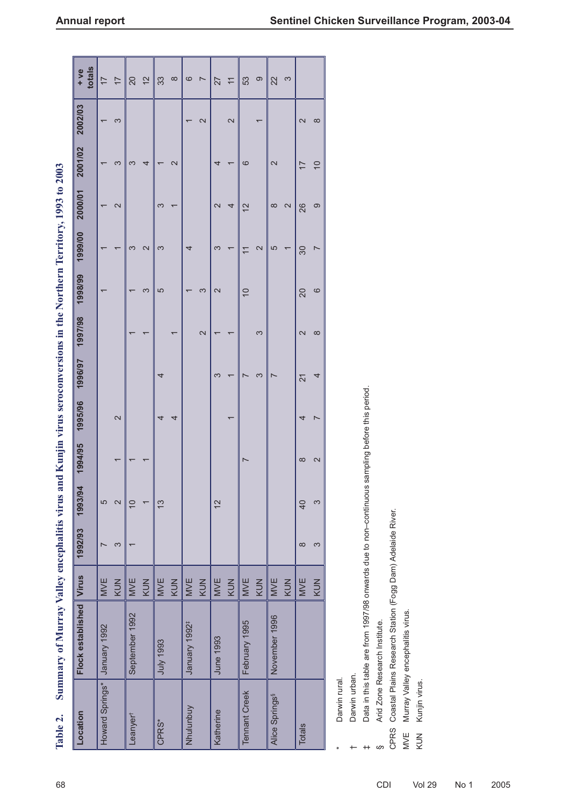| Table 2.                   | Summary of Murray Valley encephalitis virus and                      |            |                          |                          |                   |                            |                          |                   |                | Kunjin virus seroconversions in the Northern Territory, 1993 to 2003 |                   |                          |                          |                |
|----------------------------|----------------------------------------------------------------------|------------|--------------------------|--------------------------|-------------------|----------------------------|--------------------------|-------------------|----------------|----------------------------------------------------------------------|-------------------|--------------------------|--------------------------|----------------|
| Location                   | Flock established                                                    | Virus      | 1992/93                  | 1993/94                  | 1994/95           | 1995/96                    | 1996/97                  | 1997/98           | 1998/99        | 1999/00                                                              | 2000/01           | 2001/02                  | 2002/03                  | totals<br>+ ve |
| Howard Springs*            | January 1992                                                         | <b>MVE</b> | $\overline{\phantom{0}}$ | 5                        |                   |                            |                          |                   | ſ              |                                                                      |                   | $\overline{\phantom{0}}$ |                          | $\overline{1}$ |
|                            |                                                                      | KUN        | S                        | $\mathbf{\Omega}$        |                   | $\mathbf{\Omega}$          |                          |                   |                |                                                                      | 2                 | 3                        | က                        | $\overline{1}$ |
| Leanyer <sup>t</sup>       | September 1992                                                       | <b>MVE</b> | $\overline{\phantom{0}}$ | $\overline{0}$           |                   |                            |                          |                   |                | S                                                                    |                   | 3                        |                          | 20             |
|                            |                                                                      | KUN        |                          | $\overline{\phantom{0}}$ |                   |                            |                          |                   | S              | $\mathbf{\Omega}$                                                    |                   | 4                        |                          | $\overline{2}$ |
| CPRS*                      | July 1993                                                            | MVE        |                          | $\frac{3}{2}$            |                   | 4                          | 4                        |                   | 5              | S                                                                    | S                 |                          |                          | 33             |
|                            |                                                                      | KUN        |                          |                          |                   | 4                          |                          |                   |                |                                                                      |                   | $\mathbf{\Omega}$        |                          | $\infty$       |
| Nhulunbuy                  | January 1992 <sup>#</sup>                                            | <b>MVE</b> |                          |                          |                   |                            |                          |                   |                | 4                                                                    |                   |                          |                          | 6              |
|                            |                                                                      | KUN        |                          |                          |                   |                            |                          | 2                 | က              |                                                                      |                   |                          | $\mathbf{\Omega}$        | $\overline{ }$ |
| Katherine                  | <b>June 1993</b>                                                     | MVE        |                          | $\overline{2}$           |                   |                            | S                        |                   | 2              | S                                                                    | $\mathbf{\Omega}$ | 4                        |                          | 27             |
|                            |                                                                      | KUN        |                          |                          |                   | $\overline{\phantom{0}}$   | $\overline{\phantom{0}}$ |                   |                | ſ                                                                    | 4                 |                          | 2                        | $\overline{1}$ |
| <b>Tennant Creek</b>       | February 1995                                                        | <b>MVE</b> |                          |                          |                   |                            | $\overline{\phantom{0}}$ |                   | $\overline{C}$ | $\overline{1}$                                                       | $\overline{2}$    | ဖ                        |                          | 53             |
|                            |                                                                      | KUN        |                          |                          |                   |                            | S                        | S                 |                | 2                                                                    |                   |                          | $\overline{\phantom{0}}$ | ၜ              |
| Alice Springs <sup>§</sup> | November 1996                                                        | <b>MVE</b> |                          |                          |                   |                            | $\overline{ }$           |                   |                | 5                                                                    | $\infty$          | $\sim$                   |                          | 22             |
|                            |                                                                      | KUN        |                          |                          |                   |                            |                          |                   |                | $\overline{\phantom{0}}$                                             | $\mathbf{\Omega}$ |                          |                          | S              |
| Totals                     |                                                                      | MVE        | $\infty$                 | $\overline{40}$          | $\infty$          | 4                          | $\overline{21}$          | $\mathbf{\Omega}$ | 20             | 30                                                                   | 26                | $\overline{1}$           | $\mathbf{\Omega}$        |                |
|                            |                                                                      | KUN        | S                        | S                        | $\mathbf{\Omega}$ | $\overline{\phantom{0}}$   | 4                        | $\infty$          | $\circ$        | $\overline{\phantom{0}}$                                             | ၜ                 | $\overline{C}$           | $\infty$                 |                |
| Darwin rural.              |                                                                      |            |                          |                          |                   |                            |                          |                   |                |                                                                      |                   |                          |                          |                |
| Darwin urban.              |                                                                      |            |                          |                          |                   |                            |                          |                   |                |                                                                      |                   |                          |                          |                |
|                            | Data in this table are from 1997/98 onwards due to non-continuous sa |            |                          |                          |                   | impling before this period |                          |                   |                |                                                                      |                   |                          |                          |                |
| S                          | Arid Zone Research Institute.                                        |            |                          |                          |                   |                            |                          |                   |                |                                                                      |                   |                          |                          |                |
| CPRS                       | Coastal Plains Research Station (Fogg Dam) Adelaide River.           |            |                          |                          |                   |                            |                          |                   |                |                                                                      |                   |                          |                          |                |
| MVE                        | Murray Valley encephalitis virus.                                    |            |                          |                          |                   |                            |                          |                   |                |                                                                      |                   |                          |                          |                |
| Kunjin virus.<br>KUN       |                                                                      |            |                          |                          |                   |                            |                          |                   |                |                                                                      |                   |                          |                          |                |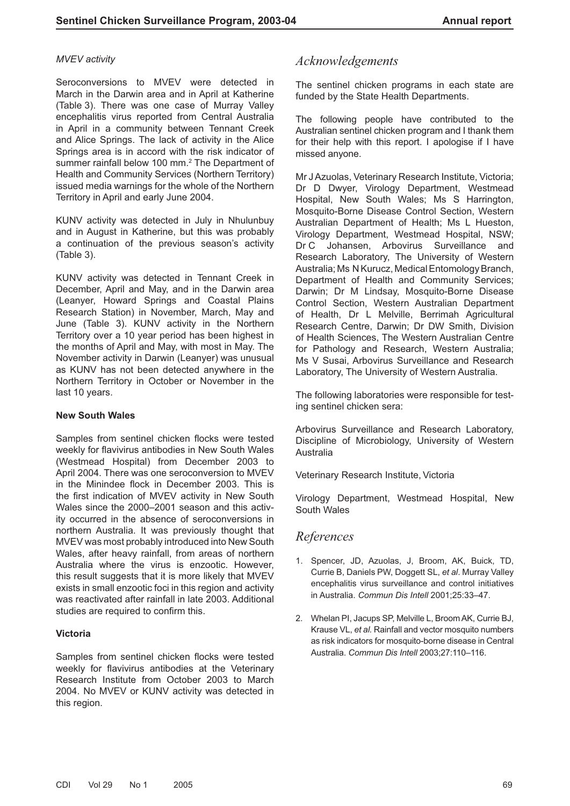#### *MVEV activity*

Seroconversions to MVEV were detected in March in the Darwin area and in April at Katherine (Table 3). There was one case of Murray Valley encephalitis virus reported from Central Australia in April in a community between Tennant Creek and Alice Springs. The lack of activity in the Alice Springs area is in accord with the risk indicator of summer rainfall below 100 mm.<sup>2</sup> The Department of Health and Community Services (Northern Territory) issued media warnings for the whole of the Northern Territory in April and early June 2004.

KUNV activity was detected in July in Nhulunbuy and in August in Katherine, but this was probably a continuation of the previous season's activity (Table 3).

KUNV activity was detected in Tennant Creek in December, April and May, and in the Darwin area (Leanyer, Howard Springs and Coastal Plains Research Station) in November, March, May and June (Table 3). KUNV activity in the Northern Territory over a 10 year period has been highest in the months of April and May, with most in May. The November activity in Darwin (Leanyer) was unusual as KUNV has not been detected anywhere in the Northern Territory in October or November in the last 10 years.

#### **New South Wales**

Samples from sentinel chicken flocks were tested weekly for flavivirus antibodies in New South Wales (Westmead Hospital) from December 2003 to April 2004. There was one seroconversion to MVEV in the Minindee flock in December 2003. This is the first indication of MVEV activity in New South Wales since the 2000–2001 season and this activity occurred in the absence of seroconversions in northern Australia. It was previously thought that MVEV was most probably introduced into New South Wales, after heavy rainfall, from areas of northern Australia where the virus is enzootic. However, this result suggests that it is more likely that MVEV exists in small enzootic foci in this region and activity was reactivated after rainfall in late 2003. Additional studies are required to confirm this.

#### **Victoria**

Samples from sentinel chicken flocks were tested weekly for flavivirus antibodies at the Veterinary Research Institute from October 2003 to March 2004. No MVEV or KUNV activity was detected in this region.

# *Acknowledgements*

The sentinel chicken programs in each state are funded by the State Health Departments.

The following people have contributed to the Australian sentinel chicken program and I thank them for their help with this report. I apologise if I have missed anyone.

Mr J Azuolas, Veterinary Research Institute, Victoria; Dr D Dwyer, Virology Department, Westmead Hospital, New South Wales; Ms S Harrington, Mosquito-Borne Disease Control Section, Western Australian Department of Health; Ms L Hueston, Virology Department, Westmead Hospital, NSW; Dr C Johansen, Arbovirus Surveillance and Research Laboratory, The University of Western Australia; Ms N Kurucz, Medical Entomology Branch, Department of Health and Community Services; Darwin; Dr M Lindsay, Mosquito-Borne Disease Control Section, Western Australian Department of Health, Dr L Melville, Berrimah Agricultural Research Centre, Darwin; Dr DW Smith, Division of Health Sciences, The Western Australian Centre for Pathology and Research, Western Australia; Ms V Susai, Arbovirus Surveillance and Research Laboratory, The University of Western Australia.

The following laboratories were responsible for testing sentinel chicken sera:

Arbovirus Surveillance and Research Laboratory, Discipline of Microbiology, University of Western Australia

Veterinary Research Institute, Victoria

Virology Department, Westmead Hospital, New South Wales

## *References*

- 1. Spencer, JD, Azuolas, J, Broom, AK, Buick, TD, Currie B, Daniels PW, Doggett SL, *et al*. Murray Valley encephalitis virus surveillance and control initiatives in Australia. *Commun Dis Intell* 2001;25:33–47.
- 2. Whelan PI, Jacups SP, Melville L, Broom AK, Currie BJ, Krause VL, *et al.* Rainfall and vector mosquito numbers as risk indicators for mosquito-borne disease in Central Australia. *Commun Dis Intell* 2003;27:110–116.